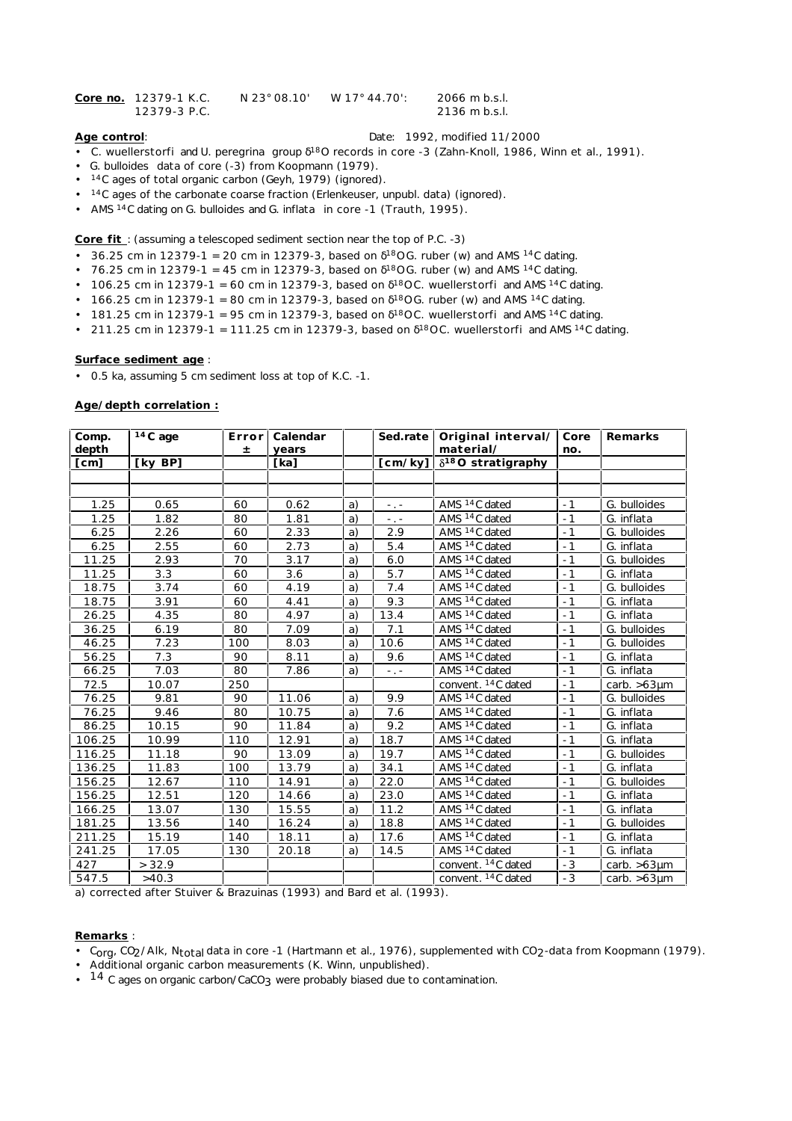| Core no. 12379-1 K.C. | N 23° 08.10' | W 17° 44.70': | 2066 m b.s.l. |
|-----------------------|--------------|---------------|---------------|
| 12379-3 P.C.          |              |               | 2136 m b.s.l. |

# **Age control**: Date: 1992, modified 11/2000

- *C. wuellerstorfi* and *U. peregrina* group 18O records in core -3 (Zahn-Knoll, 1986, Winn et al., 1991).
- *G. bulloides* data of core (-3) from Koopmann (1979).
- <sup>14</sup>C ages of total organic carbon (Geyh, 1979) (ignored).
- <sup>14</sup>C ages of the carbonate coarse fraction (Erlenkeuser, unpubl. data) (ignored).
- AMS 14C dating on *G. bulloides* and *G. inflata* in core -1 (Trauth, 1995).

**Core fit** : (assuming a telescoped sediment section near the top of P.C. -3)

- 36.25 cm in 12379-1 = 20 cm in 12379-3, based on  $180 G$ . *ruber* (w) and AMS  $14C$  dating.
- 76.25 cm in 12379-1 = 45 cm in 12379-3, based on  $180 G$ . *ruber* (w) and AMS  $14 C$  dating.
- $\cdot$  106.25 cm in 12379-1 = 60 cm in 12379-3, based on <sup>18</sup>0C. wuellerstorfi and AMS <sup>14</sup>C dating.
- 166.25 cm in 12379-1 = 80 cm in 12379-3, based on  $180 G$ . *ruber* (w) and AMS  $14C$  dating.
- $\cdot$  181.25 cm in 12379-1 = 95 cm in 12379-3, based on  $180$  *C. wuellerstorfi* and AMS  $14$ C dating.
- 211.25 cm in 12379-1 = 111.25 cm in 12379-3, based on 18O *C. wuellerstorfi* and AMS 14C dating.

# **Surface sediment age** :

• 0.5 ka, assuming 5 cm sediment loss at top of K.C. -1.

# **Age/depth correlation :**

| Comp.<br>depth | $\overline{14}C$ age | Error<br>Ŧ | Calendar<br>years |    | Sed.rate        | Original interval/<br>material/ | Core<br>no. | Remarks           |
|----------------|----------------------|------------|-------------------|----|-----------------|---------------------------------|-------------|-------------------|
| [cm]           | [ky BP]              |            | [ka]              |    | [cm/ky]         | $\delta^{18}O$ stratigraphy     |             |                   |
|                |                      |            |                   |    |                 |                                 |             |                   |
|                |                      |            |                   |    |                 |                                 |             |                   |
| 1.25           | 0.65                 | 60         | 0.62              | a) | $-1$            | AMS <sup>14</sup> C dated       | $-1$        | G. bulloides      |
| 1.25           | 1.82                 | 80         | 1.81              | a) | $\sim$ , $\sim$ | AMS <sup>14</sup> C dated       | $-1$        | G. inflata        |
| 6.25           | 2.26                 | 60         | 2.33              | a) | 2.9             | AMS <sup>14</sup> C dated       | $-1$        | G. bulloides      |
| 6.25           | 2.55                 | 60         | 2.73              | a) | 5.4             | AMS 14C dated                   | $-1$        | G. inflata        |
| 11.25          | 2.93                 | 70         | 3.17              | a) | 6.0             | AMS <sup>14</sup> C dated       | $-1$        | G. bulloides      |
| 11.25          | 3.3                  | 60         | 3.6               | a) | 5.7             | AMS <sup>14</sup> C dated       | $-1$        | G. inflata        |
| 18.75          | 3.74                 | 60         | 4.19              | a) | 7.4             | AMS <sup>14</sup> C dated       | $-1$        | G. bulloides      |
| 18.75          | 3.91                 | 60         | 4.41              | a) | 9.3             | AMS 14C dated                   | $-1$        | G. inflata        |
| 26.25          | 4.35                 | 80         | 4.97              | a) | 13.4            | AMS <sup>14</sup> C dated       | $-1$        | G. inflata        |
| 36.25          | 6.19                 | 80         | 7.09              | a) | 7.1             | AMS <sup>14</sup> C dated       | $-1$        | G. bulloides      |
| 46.25          | 7.23                 | 100        | 8.03              | a) | 10.6            | AMS <sup>14</sup> C dated       | $-1$        | G. bulloides      |
| 56.25          | 7.3                  | 90         | 8.11              | a) | 9.6             | AMS <sup>14</sup> C dated       | $-1$        | G. inflata        |
| 66.25          | 7.03                 | 80         | 7.86              | a) | $-$ . $-$       | AMS <sup>14</sup> C dated       | $-1$        | G. inflata        |
| 72.5           | 10.07                | 250        |                   |    |                 | convent. <sup>14</sup> C dated  | $-1$        | carb. $>63 \mu m$ |
| 76.25          | 9.81                 | 90         | 11.06             | a) | 9.9             | AMS <sup>14</sup> C dated       | $-1$        | G. bulloides      |
| 76.25          | 9.46                 | 80         | 10.75             | a) | 7.6             | AMS <sup>14</sup> C dated       | $-1$        | G. inflata        |
| 86.25          | 10.15                | 90         | 11.84             | a) | 9.2             | AMS <sup>14</sup> C dated       | $-1$        | G. inflata        |
| 106.25         | 10.99                | 110        | 12.91             | a) | 18.7            | AMS <sup>14</sup> C dated       | $-1$        | G. inflata        |
| 116.25         | 11.18                | 90         | 13.09             | a) | 19.7            | AMS <sup>14</sup> C dated       | $-1$        | G. bulloides      |
| 136.25         | 11.83                | 100        | 13.79             | a) | 34.1            | AMS <sup>14</sup> C dated       | $-1$        | G. inflata        |
| 156.25         | 12.67                | 110        | 14.91             | a) | 22.0            | AMS <sup>14</sup> C dated       | $-1$        | G. bulloides      |
| 156.25         | 12.51                | 120        | 14.66             | a) | 23.0            | AMS <sup>14</sup> C dated       | $-1$        | G. inflata        |
| 166.25         | 13.07                | 130        | 15.55             | a) | 11.2            | AMS 14C dated                   | $-1$        | G. inflata        |
| 181.25         | 13.56                | 140        | 16.24             | a) | 18.8            | AMS <sup>14</sup> C dated       | $-1$        | G. bulloides      |
| 211.25         | 15.19                | 140        | 18.11             | a) | 17.6            | AMS <sup>14</sup> C dated       | $-1$        | G. inflata        |
| 241.25         | 17.05                | 130        | 20.18             | a) | 14.5            | AMS <sup>14</sup> C dated       | $-1$        | G. inflata        |
| 427            | > 32.9               |            |                   |    |                 | convent. 14C dated              | $-3$        | carb. $>63 \mu m$ |
| 547.5          | >40.3                |            |                   |    |                 | convent. 14C dated              | $-3$        | carb. $>63 \mu m$ |

a) corrected after Stuiver & Brazuinas (1993) and Bard et al. (1993).

### **Remarks** :

- Corg, CO<sub>2</sub>/Alk, N<sub>total</sub> data in core -1 (Hartmann et al., 1976), supplemented with CO<sub>2</sub>-data from Koopmann (1979).
- Additional organic carbon measurements (K. Winn, unpublished).
- 14 C ages on organic carbon/CaCO<sub>3</sub> were probably biased due to contamination.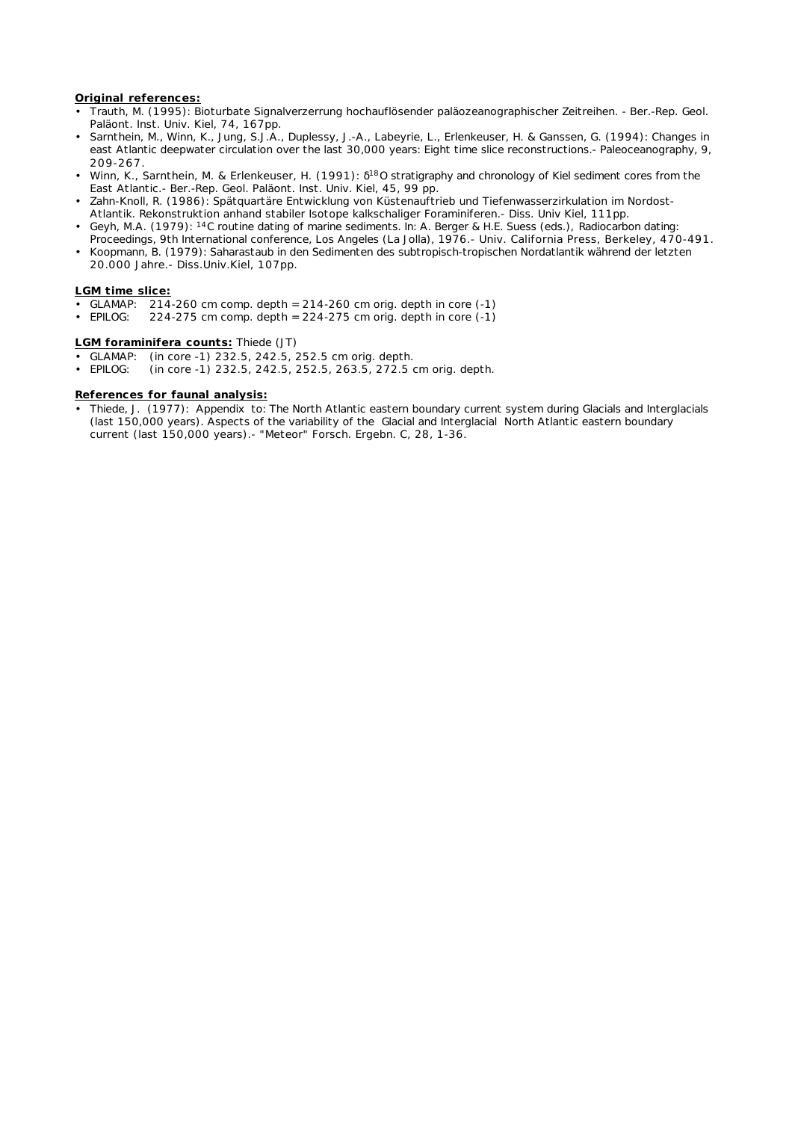### **Original references:**

- Trauth, M. (1995): Bioturbate Signalverzerrung hochauflösender paläozeanographischer Zeitreihen. Ber.-Rep. Geol. Paläont. Inst. Univ. Kiel, 74, 167pp.
- Sarnthein, M., Winn, K., Jung, S.J.A., Duplessy, J.-A., Labeyrie, L., Erlenkeuser, H. & Ganssen, G. (1994): Changes in east Atlantic deepwater circulation over the last 30,000 years: Eight time slice reconstructions.- Paleoceanography, 9, 209-267.
- Winn, K., Sarnthein, M. & Erlenkeuser, H. (1991): <sup>18</sup>O stratigraphy and chronology of Kiel sediment cores from the East Atlantic.- Ber.-Rep. Geol. Paläont. Inst. Univ. Kiel, 45, 99 pp.
- Zahn-Knoll, R. (1986): Spätquartäre Entwicklung von Küstenauftrieb und Tiefenwasserzirkulation im Nordost-Atlantik. Rekonstruktion anhand stabiler Isotope kalkschaliger Foraminiferen.- Diss. Univ Kiel, 111pp.
- Geyh, M.A. (1979): 14C routine dating of marine sediments. In: A. Berger & H.E. Suess (eds.), *Radiocarbon dating: Proceedings, 9th International conference, Los Angeles (La Jolla), 1976*.- Univ. California Press, Berkeley, 470-491.
- Koopmann, B. (1979): Saharastaub in den Sedimenten des subtropisch-tropischen Nordatlantik während der letzten 20.000 Jahre.- Diss.Univ.Kiel, 107pp.

#### **LGM time slice:**

- GLAMAP: 214-260 cm comp. depth = 214-260 cm orig. depth in core (-1)
- EPILOG:  $224-275$  cm comp. depth =  $224-275$  cm orig. depth in core  $(-1)$

#### **LGM foraminifera counts:** Thiede (JT)

- GLAMAP: (in core -1) 232.5, 242.5, 252.5 cm orig. depth.
- EPILOG: (in core -1) 232.5, 242.5, 252.5, 263.5, 272.5 cm orig. depth.

#### **References for faunal analysis:**

• Thiede, J. (1977): Appendix to: The North Atlantic eastern boundary current system during Glacials and Interglacials (last 150,000 years). Aspects of the variability of the Glacial and Interglacial North Atlantic eastern boundary current (last 150,000 years).- "Meteor" Forsch. Ergebn. C, 28, 1-36.